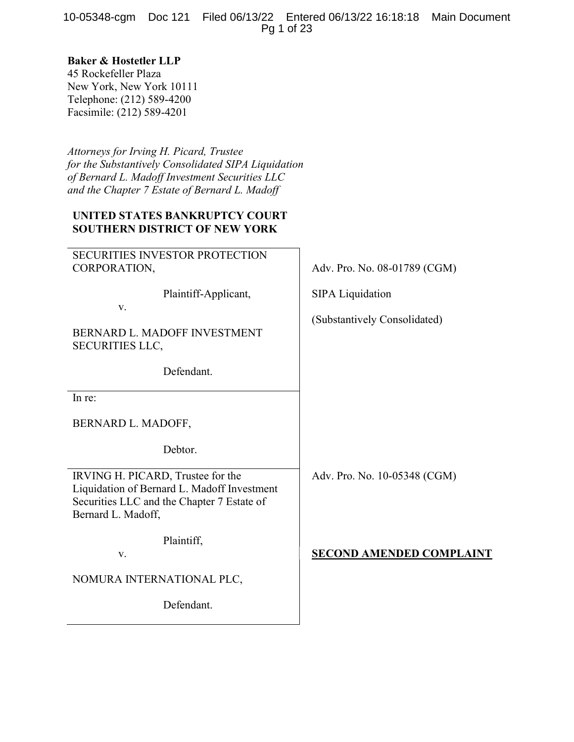10-05348-cgm Doc 121 Filed 06/13/22 Entered 06/13/22 16:18:18 Main Document Pg 1 of 23

# Baker & Hostetler LLP

45 Rockefeller Plaza New York, New York 10111 Telephone: (212) 589-4200 Facsimile: (212) 589-4201

Attorneys for Irving H. Picard, Trustee for the Substantively Consolidated SIPA Liquidation of Bernard L. Madoff Investment Securities LLC and the Chapter 7 Estate of Bernard L. Madoff

# UNITED STATES BANKRUPTCY COURT SOUTHERN DISTRICT OF NEW YORK

SECURITIES INVESTOR PROTECTION CORPORATION,  $\qquad \qquad \qquad$  Adv. Pro. No. 08-01789 (CGM)

Plaintiff-Applicant, SIPA Liquidation

v.

BERNARD L. MADOFF INVESTMENT SECURITIES LLC,

Defendant.

In re:

BERNARD L. MADOFF,

Debtor.

IRVING H. PICARD, Trustee for the Liquidation of Bernard L. Madoff Investment Securities LLC and the Chapter 7 Estate of Bernard L. Madoff,

Plaintiff,

NOMURA INTERNATIONAL PLC,

Defendant.

(Substantively Consolidated)

Adv. Pro. No. 10-05348 (CGM)

v. SECOND AMENDED COMPLAINT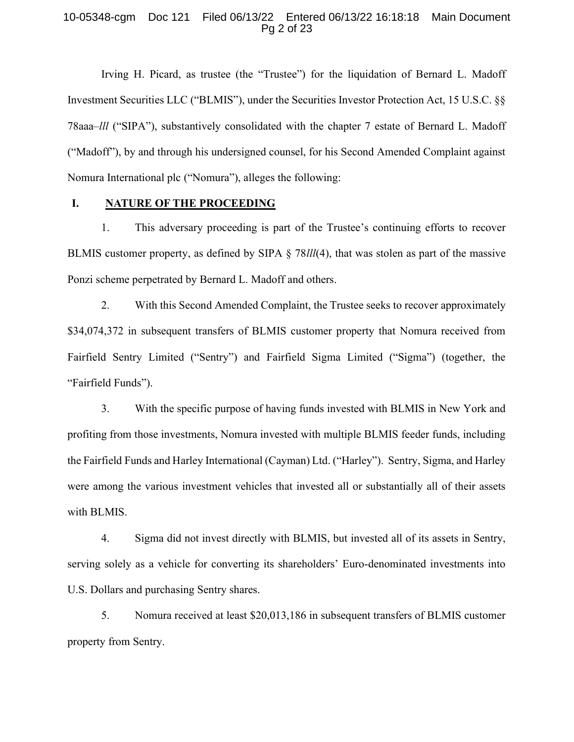#### 10-05348-cgm Doc 121 Filed 06/13/22 Entered 06/13/22 16:18:18 Main Document Pg 2 of 23

Irving H. Picard, as trustee (the "Trustee") for the liquidation of Bernard L. Madoff Investment Securities LLC ("BLMIS"), under the Securities Investor Protection Act, 15 U.S.C. §§ 78aaa–lll ("SIPA"), substantively consolidated with the chapter 7 estate of Bernard L. Madoff ("Madoff"), by and through his undersigned counsel, for his Second Amended Complaint against Nomura International plc ("Nomura"), alleges the following:

### I. NATURE OF THE PROCEEDING

1. This adversary proceeding is part of the Trustee's continuing efforts to recover BLMIS customer property, as defined by SIPA § 78lll(4), that was stolen as part of the massive Ponzi scheme perpetrated by Bernard L. Madoff and others.

2. With this Second Amended Complaint, the Trustee seeks to recover approximately \$34,074,372 in subsequent transfers of BLMIS customer property that Nomura received from Fairfield Sentry Limited ("Sentry") and Fairfield Sigma Limited ("Sigma") (together, the "Fairfield Funds").

3. With the specific purpose of having funds invested with BLMIS in New York and profiting from those investments, Nomura invested with multiple BLMIS feeder funds, including the Fairfield Funds and Harley International (Cayman) Ltd. ("Harley"). Sentry, Sigma, and Harley were among the various investment vehicles that invested all or substantially all of their assets with BLMIS.

4. Sigma did not invest directly with BLMIS, but invested all of its assets in Sentry, serving solely as a vehicle for converting its shareholders' Euro-denominated investments into U.S. Dollars and purchasing Sentry shares.

5. Nomura received at least \$20,013,186 in subsequent transfers of BLMIS customer property from Sentry.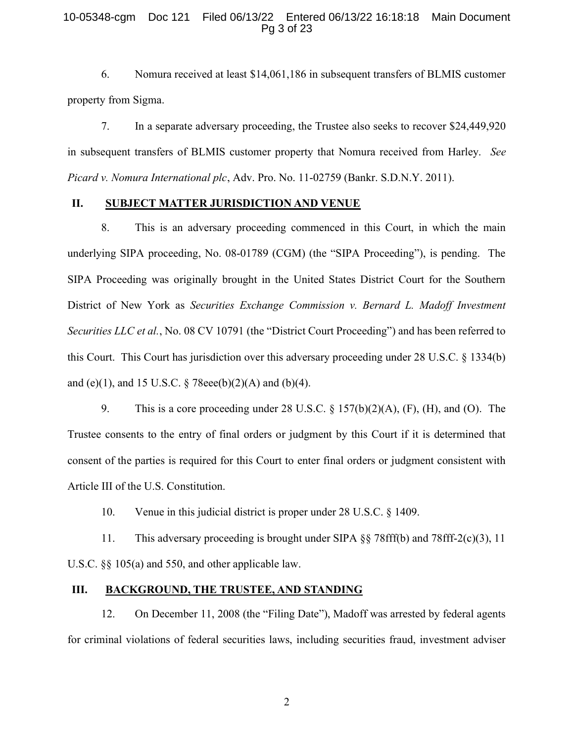#### 10-05348-cgm Doc 121 Filed 06/13/22 Entered 06/13/22 16:18:18 Main Document Pg 3 of 23

6. Nomura received at least \$14,061,186 in subsequent transfers of BLMIS customer property from Sigma.

7. In a separate adversary proceeding, the Trustee also seeks to recover \$24,449,920 in subsequent transfers of BLMIS customer property that Nomura received from Harley. See Picard v. Nomura International plc, Adv. Pro. No. 11-02759 (Bankr. S.D.N.Y. 2011).

# II. SUBJECT MATTER JURISDICTION AND VENUE

8. This is an adversary proceeding commenced in this Court, in which the main underlying SIPA proceeding, No. 08-01789 (CGM) (the "SIPA Proceeding"), is pending. The SIPA Proceeding was originally brought in the United States District Court for the Southern District of New York as Securities Exchange Commission v. Bernard L. Madoff Investment Securities LLC et al., No. 08 CV 10791 (the "District Court Proceeding") and has been referred to this Court. This Court has jurisdiction over this adversary proceeding under 28 U.S.C. § 1334(b) and (e)(1), and 15 U.S.C.  $\S$  78eee(b)(2)(A) and (b)(4).

9. This is a core proceeding under 28 U.S.C. § 157(b)(2)(A), (F), (H), and (O). The Trustee consents to the entry of final orders or judgment by this Court if it is determined that consent of the parties is required for this Court to enter final orders or judgment consistent with Article III of the U.S. Constitution.

10. Venue in this judicial district is proper under 28 U.S.C. § 1409.

11. This adversary proceeding is brought under SIPA §§ 78fff(b) and 78fff-2(c)(3), 11 U.S.C. §§ 105(a) and 550, and other applicable law.

#### III. BACKGROUND, THE TRUSTEE, AND STANDING

12. On December 11, 2008 (the "Filing Date"), Madoff was arrested by federal agents for criminal violations of federal securities laws, including securities fraud, investment adviser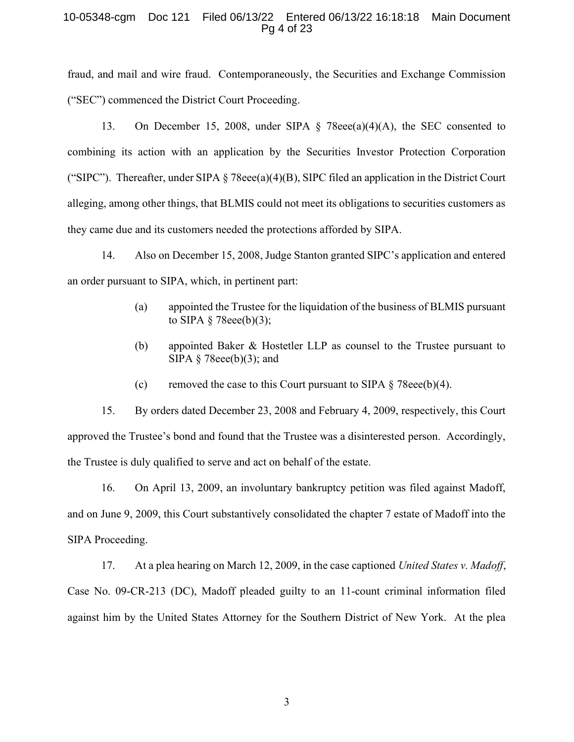#### 10-05348-cgm Doc 121 Filed 06/13/22 Entered 06/13/22 16:18:18 Main Document Pg 4 of 23

fraud, and mail and wire fraud. Contemporaneously, the Securities and Exchange Commission ("SEC") commenced the District Court Proceeding.

13. On December 15, 2008, under SIPA § 78eee(a)(4)(A), the SEC consented to combining its action with an application by the Securities Investor Protection Corporation ("SIPC"). Thereafter, under SIPA  $\S$  78eee(a)(4)(B), SIPC filed an application in the District Court alleging, among other things, that BLMIS could not meet its obligations to securities customers as they came due and its customers needed the protections afforded by SIPA.

14. Also on December 15, 2008, Judge Stanton granted SIPC's application and entered an order pursuant to SIPA, which, in pertinent part:

- (a) appointed the Trustee for the liquidation of the business of BLMIS pursuant to SIPA  $\S$  78eee(b)(3);
- (b) appointed Baker & Hostetler LLP as counsel to the Trustee pursuant to SIPA  $\S$  78eee(b)(3); and
- (c) removed the case to this Court pursuant to SIPA  $\S$  78eee(b)(4).

15. By orders dated December 23, 2008 and February 4, 2009, respectively, this Court approved the Trustee's bond and found that the Trustee was a disinterested person. Accordingly, the Trustee is duly qualified to serve and act on behalf of the estate.

16. On April 13, 2009, an involuntary bankruptcy petition was filed against Madoff, and on June 9, 2009, this Court substantively consolidated the chapter 7 estate of Madoff into the SIPA Proceeding.

17. At a plea hearing on March 12, 2009, in the case captioned United States v. Madoff, Case No. 09-CR-213 (DC), Madoff pleaded guilty to an 11-count criminal information filed against him by the United States Attorney for the Southern District of New York. At the plea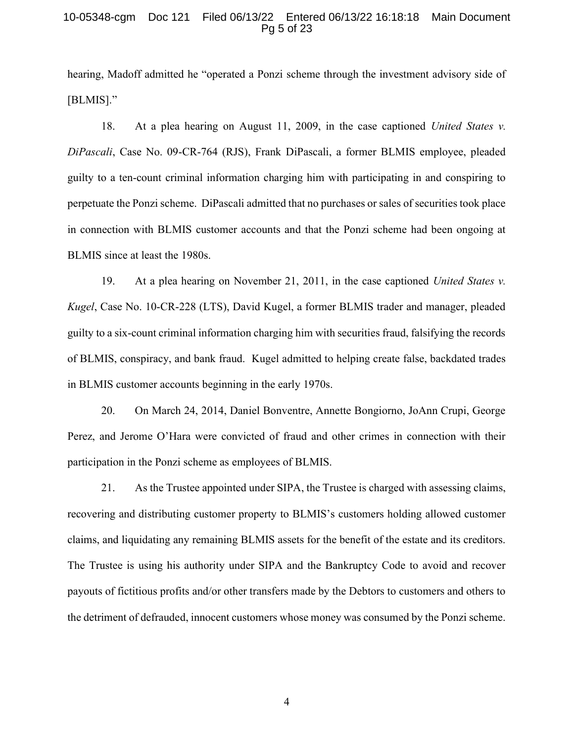#### 10-05348-cgm Doc 121 Filed 06/13/22 Entered 06/13/22 16:18:18 Main Document Pg 5 of 23

hearing, Madoff admitted he "operated a Ponzi scheme through the investment advisory side of [BLMIS]."

18. At a plea hearing on August 11, 2009, in the case captioned United States v. DiPascali, Case No. 09-CR-764 (RJS), Frank DiPascali, a former BLMIS employee, pleaded guilty to a ten-count criminal information charging him with participating in and conspiring to perpetuate the Ponzi scheme. DiPascali admitted that no purchases or sales of securities took place in connection with BLMIS customer accounts and that the Ponzi scheme had been ongoing at BLMIS since at least the 1980s.

19. At a plea hearing on November 21, 2011, in the case captioned United States v. Kugel, Case No. 10-CR-228 (LTS), David Kugel, a former BLMIS trader and manager, pleaded guilty to a six-count criminal information charging him with securities fraud, falsifying the records of BLMIS, conspiracy, and bank fraud. Kugel admitted to helping create false, backdated trades in BLMIS customer accounts beginning in the early 1970s.

20. On March 24, 2014, Daniel Bonventre, Annette Bongiorno, JoAnn Crupi, George Perez, and Jerome O'Hara were convicted of fraud and other crimes in connection with their participation in the Ponzi scheme as employees of BLMIS.

21. As the Trustee appointed under SIPA, the Trustee is charged with assessing claims, recovering and distributing customer property to BLMIS's customers holding allowed customer claims, and liquidating any remaining BLMIS assets for the benefit of the estate and its creditors. The Trustee is using his authority under SIPA and the Bankruptcy Code to avoid and recover payouts of fictitious profits and/or other transfers made by the Debtors to customers and others to the detriment of defrauded, innocent customers whose money was consumed by the Ponzi scheme.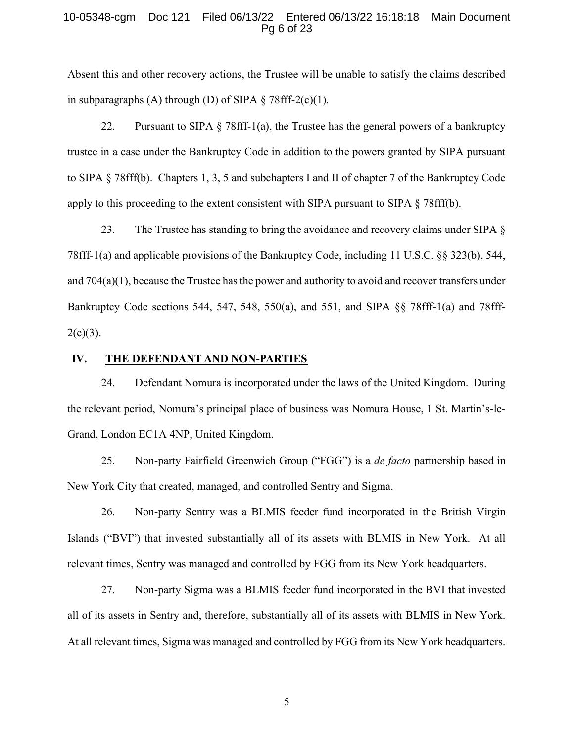#### 10-05348-cgm Doc 121 Filed 06/13/22 Entered 06/13/22 16:18:18 Main Document Pg 6 of 23

Absent this and other recovery actions, the Trustee will be unable to satisfy the claims described in subparagraphs (A) through (D) of SIPA  $\S$  78fff-2(c)(1).

22. Pursuant to SIPA  $\S$  78fff-1(a), the Trustee has the general powers of a bankruptcy trustee in a case under the Bankruptcy Code in addition to the powers granted by SIPA pursuant to SIPA § 78fff(b). Chapters 1, 3, 5 and subchapters I and II of chapter 7 of the Bankruptcy Code apply to this proceeding to the extent consistent with SIPA pursuant to SIPA  $\S$  78fff(b).

23. The Trustee has standing to bring the avoidance and recovery claims under SIPA § 78fff-1(a) and applicable provisions of the Bankruptcy Code, including 11 U.S.C. §§ 323(b), 544, and 704(a)(1), because the Trustee has the power and authority to avoid and recover transfers under Bankruptcy Code sections 544, 547, 548, 550(a), and 551, and SIPA §§ 78fff-1(a) and 78fff- $2(c)(3)$ .

#### IV. THE DEFENDANT AND NON-PARTIES

24. Defendant Nomura is incorporated under the laws of the United Kingdom. During the relevant period, Nomura's principal place of business was Nomura House, 1 St. Martin's-le-Grand, London EC1A 4NP, United Kingdom.

25. Non-party Fairfield Greenwich Group ("FGG") is a *de facto* partnership based in New York City that created, managed, and controlled Sentry and Sigma.

26. Non-party Sentry was a BLMIS feeder fund incorporated in the British Virgin Islands ("BVI") that invested substantially all of its assets with BLMIS in New York. At all relevant times, Sentry was managed and controlled by FGG from its New York headquarters.

27. Non-party Sigma was a BLMIS feeder fund incorporated in the BVI that invested all of its assets in Sentry and, therefore, substantially all of its assets with BLMIS in New York. At all relevant times, Sigma was managed and controlled by FGG from its New York headquarters.

 $\sim$  5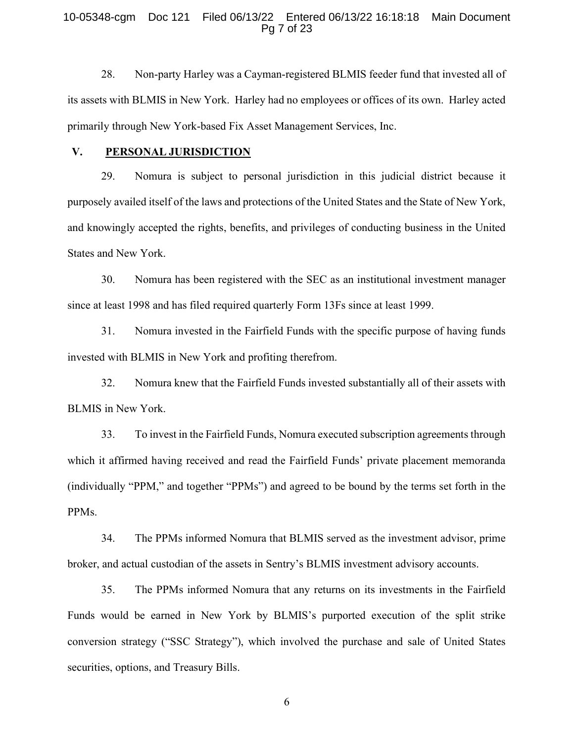#### 10-05348-cgm Doc 121 Filed 06/13/22 Entered 06/13/22 16:18:18 Main Document Pg 7 of 23

28. Non-party Harley was a Cayman-registered BLMIS feeder fund that invested all of its assets with BLMIS in New York. Harley had no employees or offices of its own. Harley acted primarily through New York-based Fix Asset Management Services, Inc.

#### V. PERSONAL JURISDICTION

29. Nomura is subject to personal jurisdiction in this judicial district because it purposely availed itself of the laws and protections of the United States and the State of New York, and knowingly accepted the rights, benefits, and privileges of conducting business in the United States and New York.

30. Nomura has been registered with the SEC as an institutional investment manager since at least 1998 and has filed required quarterly Form 13Fs since at least 1999.

31. Nomura invested in the Fairfield Funds with the specific purpose of having funds invested with BLMIS in New York and profiting therefrom.

32. Nomura knew that the Fairfield Funds invested substantially all of their assets with BLMIS in New York.

33. To invest in the Fairfield Funds, Nomura executed subscription agreements through which it affirmed having received and read the Fairfield Funds' private placement memoranda (individually "PPM," and together "PPMs") and agreed to be bound by the terms set forth in the PPMs.

34. The PPMs informed Nomura that BLMIS served as the investment advisor, prime broker, and actual custodian of the assets in Sentry's BLMIS investment advisory accounts.

35. The PPMs informed Nomura that any returns on its investments in the Fairfield Funds would be earned in New York by BLMIS's purported execution of the split strike conversion strategy ("SSC Strategy"), which involved the purchase and sale of United States securities, options, and Treasury Bills.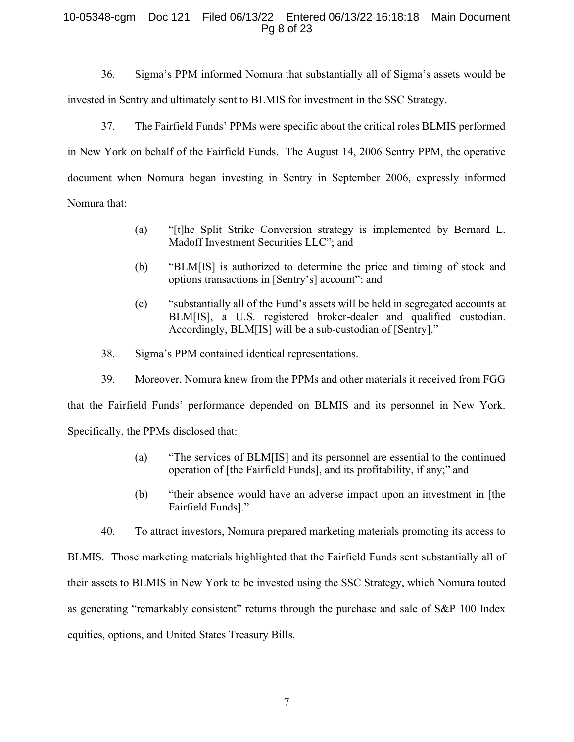#### 10-05348-cgm Doc 121 Filed 06/13/22 Entered 06/13/22 16:18:18 Main Document Pg 8 of 23

36. Sigma's PPM informed Nomura that substantially all of Sigma's assets would be invested in Sentry and ultimately sent to BLMIS for investment in the SSC Strategy.

37. The Fairfield Funds' PPMs were specific about the critical roles BLMIS performed in New York on behalf of the Fairfield Funds. The August 14, 2006 Sentry PPM, the operative document when Nomura began investing in Sentry in September 2006, expressly informed Nomura that:

- (a) "[t]he Split Strike Conversion strategy is implemented by Bernard L. Madoff Investment Securities LLC"; and
- (b) "BLM[IS] is authorized to determine the price and timing of stock and options transactions in [Sentry's] account"; and
- (c) "substantially all of the Fund's assets will be held in segregated accounts at BLM[IS], a U.S. registered broker-dealer and qualified custodian. Accordingly, BLM[IS] will be a sub-custodian of [Sentry]."
- 38. Sigma's PPM contained identical representations.
- 39. Moreover, Nomura knew from the PPMs and other materials it received from FGG

that the Fairfield Funds' performance depended on BLMIS and its personnel in New York. Specifically, the PPMs disclosed that:

- (a) "The services of BLM[IS] and its personnel are essential to the continued operation of [the Fairfield Funds], and its profitability, if any;" and
- (b) "their absence would have an adverse impact upon an investment in [the Fairfield Funds]."
- 40. To attract investors, Nomura prepared marketing materials promoting its access to

BLMIS. Those marketing materials highlighted that the Fairfield Funds sent substantially all of their assets to BLMIS in New York to be invested using the SSC Strategy, which Nomura touted as generating "remarkably consistent" returns through the purchase and sale of S&P 100 Index equities, options, and United States Treasury Bills.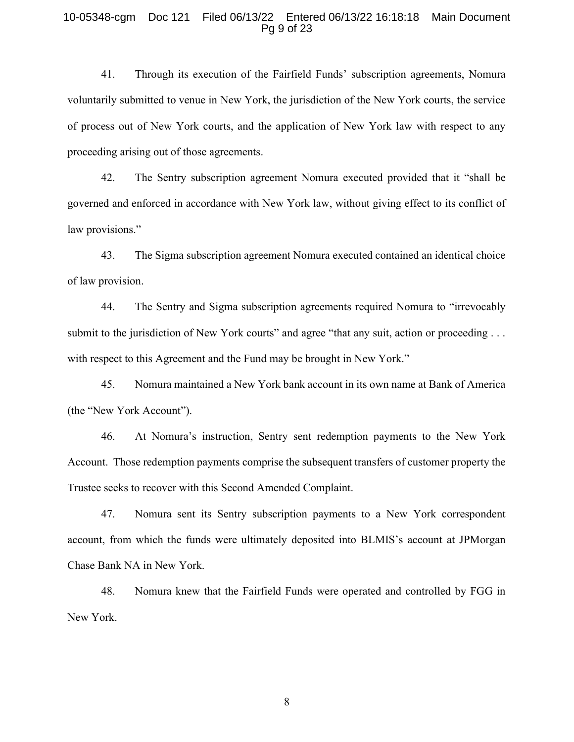#### 10-05348-cgm Doc 121 Filed 06/13/22 Entered 06/13/22 16:18:18 Main Document Pg 9 of 23

41. Through its execution of the Fairfield Funds' subscription agreements, Nomura voluntarily submitted to venue in New York, the jurisdiction of the New York courts, the service of process out of New York courts, and the application of New York law with respect to any proceeding arising out of those agreements.

42. The Sentry subscription agreement Nomura executed provided that it "shall be governed and enforced in accordance with New York law, without giving effect to its conflict of law provisions."

43. The Sigma subscription agreement Nomura executed contained an identical choice of law provision.

44. The Sentry and Sigma subscription agreements required Nomura to "irrevocably submit to the jurisdiction of New York courts" and agree "that any suit, action or proceeding . . . with respect to this Agreement and the Fund may be brought in New York."

45. Nomura maintained a New York bank account in its own name at Bank of America (the "New York Account").

46. At Nomura's instruction, Sentry sent redemption payments to the New York Account. Those redemption payments comprise the subsequent transfers of customer property the Trustee seeks to recover with this Second Amended Complaint.

47. Nomura sent its Sentry subscription payments to a New York correspondent account, from which the funds were ultimately deposited into BLMIS's account at JPMorgan Chase Bank NA in New York.

48. Nomura knew that the Fairfield Funds were operated and controlled by FGG in New York.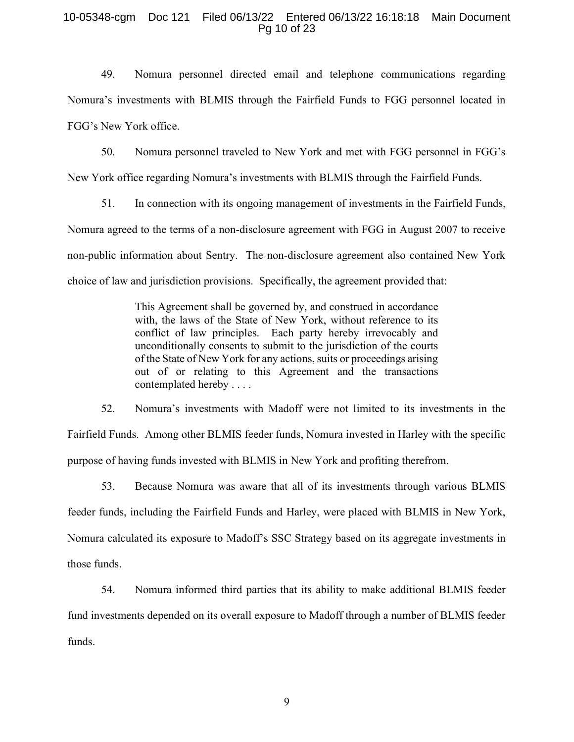#### 10-05348-cgm Doc 121 Filed 06/13/22 Entered 06/13/22 16:18:18 Main Document Pg 10 of 23

49. Nomura personnel directed email and telephone communications regarding Nomura's investments with BLMIS through the Fairfield Funds to FGG personnel located in FGG's New York office.

50. Nomura personnel traveled to New York and met with FGG personnel in FGG's

New York office regarding Nomura's investments with BLMIS through the Fairfield Funds.

51. In connection with its ongoing management of investments in the Fairfield Funds, Nomura agreed to the terms of a non-disclosure agreement with FGG in August 2007 to receive non-public information about Sentry. The non-disclosure agreement also contained New York choice of law and jurisdiction provisions. Specifically, the agreement provided that:

> This Agreement shall be governed by, and construed in accordance with, the laws of the State of New York, without reference to its conflict of law principles. Each party hereby irrevocably and unconditionally consents to submit to the jurisdiction of the courts of the State of New York for any actions, suits or proceedings arising out of or relating to this Agreement and the transactions contemplated hereby . . . .

52. Nomura's investments with Madoff were not limited to its investments in the Fairfield Funds. Among other BLMIS feeder funds, Nomura invested in Harley with the specific purpose of having funds invested with BLMIS in New York and profiting therefrom.

53. Because Nomura was aware that all of its investments through various BLMIS feeder funds, including the Fairfield Funds and Harley, were placed with BLMIS in New York, Nomura calculated its exposure to Madoff's SSC Strategy based on its aggregate investments in those funds.

54. Nomura informed third parties that its ability to make additional BLMIS feeder fund investments depended on its overall exposure to Madoff through a number of BLMIS feeder funds.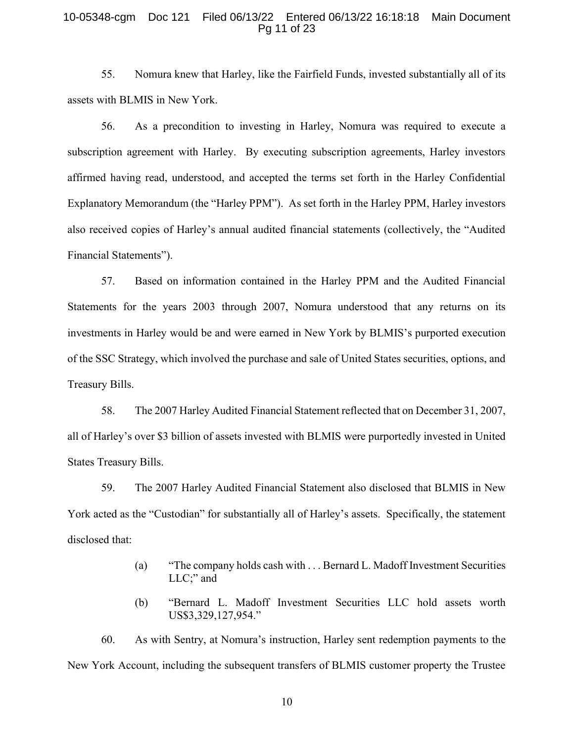#### 10-05348-cgm Doc 121 Filed 06/13/22 Entered 06/13/22 16:18:18 Main Document Pg 11 of 23

55. Nomura knew that Harley, like the Fairfield Funds, invested substantially all of its assets with BLMIS in New York.

56. As a precondition to investing in Harley, Nomura was required to execute a subscription agreement with Harley. By executing subscription agreements, Harley investors affirmed having read, understood, and accepted the terms set forth in the Harley Confidential Explanatory Memorandum (the "Harley PPM"). As set forth in the Harley PPM, Harley investors also received copies of Harley's annual audited financial statements (collectively, the "Audited Financial Statements").

57. Based on information contained in the Harley PPM and the Audited Financial Statements for the years 2003 through 2007, Nomura understood that any returns on its investments in Harley would be and were earned in New York by BLMIS's purported execution of the SSC Strategy, which involved the purchase and sale of United States securities, options, and Treasury Bills.

58. The 2007 Harley Audited Financial Statement reflected that on December 31, 2007, all of Harley's over \$3 billion of assets invested with BLMIS were purportedly invested in United States Treasury Bills.

59. The 2007 Harley Audited Financial Statement also disclosed that BLMIS in New York acted as the "Custodian" for substantially all of Harley's assets. Specifically, the statement disclosed that:

- (a) "The company holds cash with . . . Bernard L. Madoff Investment Securities LLC;" and
- (b) "Bernard L. Madoff Investment Securities LLC hold assets worth US\$3,329,127,954."

60. As with Sentry, at Nomura's instruction, Harley sent redemption payments to the New York Account, including the subsequent transfers of BLMIS customer property the Trustee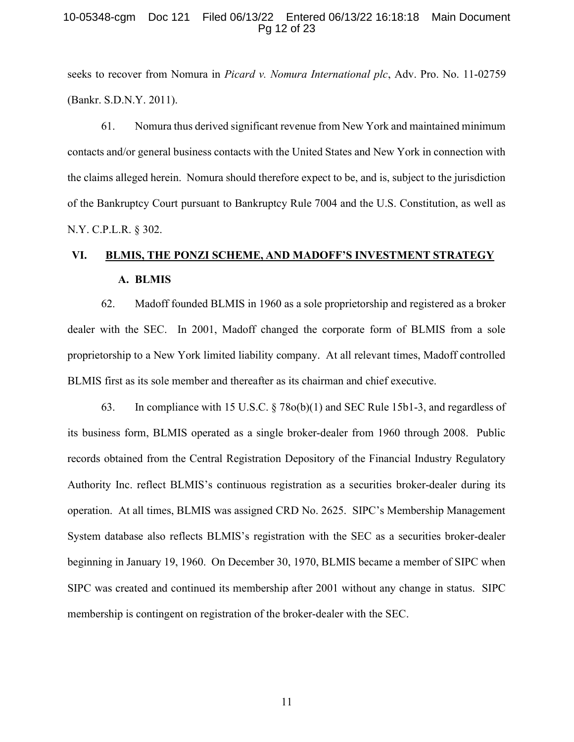#### 10-05348-cgm Doc 121 Filed 06/13/22 Entered 06/13/22 16:18:18 Main Document Pg 12 of 23

seeks to recover from Nomura in Picard v. Nomura International plc, Adv. Pro. No. 11-02759 (Bankr. S.D.N.Y. 2011).

61. Nomura thus derived significant revenue from New York and maintained minimum contacts and/or general business contacts with the United States and New York in connection with the claims alleged herein. Nomura should therefore expect to be, and is, subject to the jurisdiction of the Bankruptcy Court pursuant to Bankruptcy Rule 7004 and the U.S. Constitution, as well as N.Y. C.P.L.R. § 302.

# VI. BLMIS, THE PONZI SCHEME, AND MADOFF'S INVESTMENT STRATEGY A. BLMIS

62. Madoff founded BLMIS in 1960 as a sole proprietorship and registered as a broker dealer with the SEC. In 2001, Madoff changed the corporate form of BLMIS from a sole proprietorship to a New York limited liability company. At all relevant times, Madoff controlled BLMIS first as its sole member and thereafter as its chairman and chief executive.

63. In compliance with 15 U.S.C. § 78o(b)(1) and SEC Rule 15b1-3, and regardless of its business form, BLMIS operated as a single broker-dealer from 1960 through 2008. Public records obtained from the Central Registration Depository of the Financial Industry Regulatory Authority Inc. reflect BLMIS's continuous registration as a securities broker-dealer during its operation. At all times, BLMIS was assigned CRD No. 2625. SIPC's Membership Management System database also reflects BLMIS's registration with the SEC as a securities broker-dealer beginning in January 19, 1960. On December 30, 1970, BLMIS became a member of SIPC when SIPC was created and continued its membership after 2001 without any change in status. SIPC membership is contingent on registration of the broker-dealer with the SEC.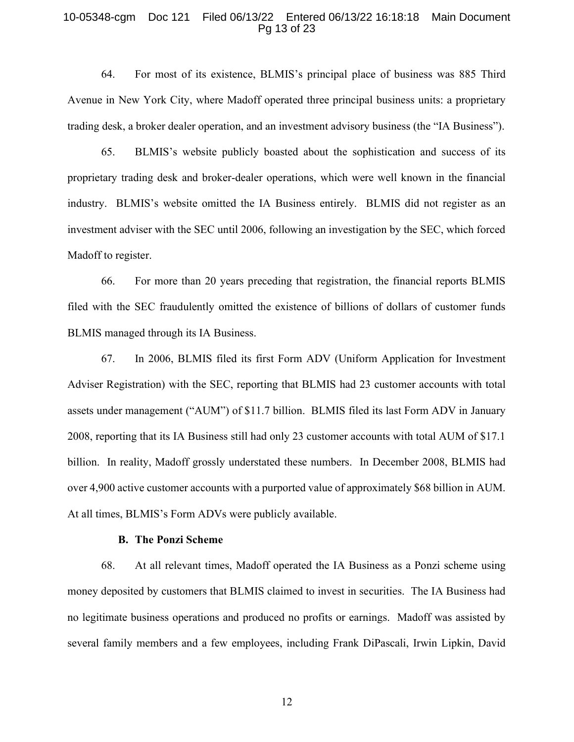#### 10-05348-cgm Doc 121 Filed 06/13/22 Entered 06/13/22 16:18:18 Main Document Pg 13 of 23

64. For most of its existence, BLMIS's principal place of business was 885 Third Avenue in New York City, where Madoff operated three principal business units: a proprietary trading desk, a broker dealer operation, and an investment advisory business (the "IA Business").

65. BLMIS's website publicly boasted about the sophistication and success of its proprietary trading desk and broker-dealer operations, which were well known in the financial industry. BLMIS's website omitted the IA Business entirely. BLMIS did not register as an investment adviser with the SEC until 2006, following an investigation by the SEC, which forced Madoff to register.

66. For more than 20 years preceding that registration, the financial reports BLMIS filed with the SEC fraudulently omitted the existence of billions of dollars of customer funds BLMIS managed through its IA Business.

67. In 2006, BLMIS filed its first Form ADV (Uniform Application for Investment Adviser Registration) with the SEC, reporting that BLMIS had 23 customer accounts with total assets under management ("AUM") of \$11.7 billion. BLMIS filed its last Form ADV in January 2008, reporting that its IA Business still had only 23 customer accounts with total AUM of \$17.1 billion. In reality, Madoff grossly understated these numbers. In December 2008, BLMIS had over 4,900 active customer accounts with a purported value of approximately \$68 billion in AUM. At all times, BLMIS's Form ADVs were publicly available.

#### B. The Ponzi Scheme

68. At all relevant times, Madoff operated the IA Business as a Ponzi scheme using money deposited by customers that BLMIS claimed to invest in securities. The IA Business had no legitimate business operations and produced no profits or earnings. Madoff was assisted by several family members and a few employees, including Frank DiPascali, Irwin Lipkin, David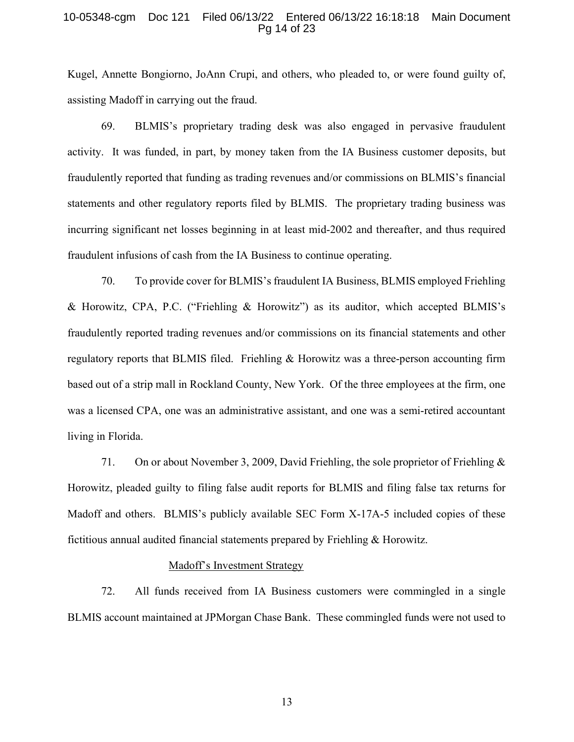#### 10-05348-cgm Doc 121 Filed 06/13/22 Entered 06/13/22 16:18:18 Main Document Pg 14 of 23

Kugel, Annette Bongiorno, JoAnn Crupi, and others, who pleaded to, or were found guilty of, assisting Madoff in carrying out the fraud.

69. BLMIS's proprietary trading desk was also engaged in pervasive fraudulent activity. It was funded, in part, by money taken from the IA Business customer deposits, but fraudulently reported that funding as trading revenues and/or commissions on BLMIS's financial statements and other regulatory reports filed by BLMIS. The proprietary trading business was incurring significant net losses beginning in at least mid-2002 and thereafter, and thus required fraudulent infusions of cash from the IA Business to continue operating.

70. To provide cover for BLMIS's fraudulent IA Business, BLMIS employed Friehling & Horowitz, CPA, P.C. ("Friehling & Horowitz") as its auditor, which accepted BLMIS's fraudulently reported trading revenues and/or commissions on its financial statements and other regulatory reports that BLMIS filed. Friehling & Horowitz was a three-person accounting firm based out of a strip mall in Rockland County, New York. Of the three employees at the firm, one was a licensed CPA, one was an administrative assistant, and one was a semi-retired accountant living in Florida.

71. On or about November 3, 2009, David Friehling, the sole proprietor of Friehling  $\&$ Horowitz, pleaded guilty to filing false audit reports for BLMIS and filing false tax returns for Madoff and others. BLMIS's publicly available SEC Form X-17A-5 included copies of these fictitious annual audited financial statements prepared by Friehling & Horowitz.

#### Madoff's Investment Strategy

72. All funds received from IA Business customers were commingled in a single BLMIS account maintained at JPMorgan Chase Bank. These commingled funds were not used to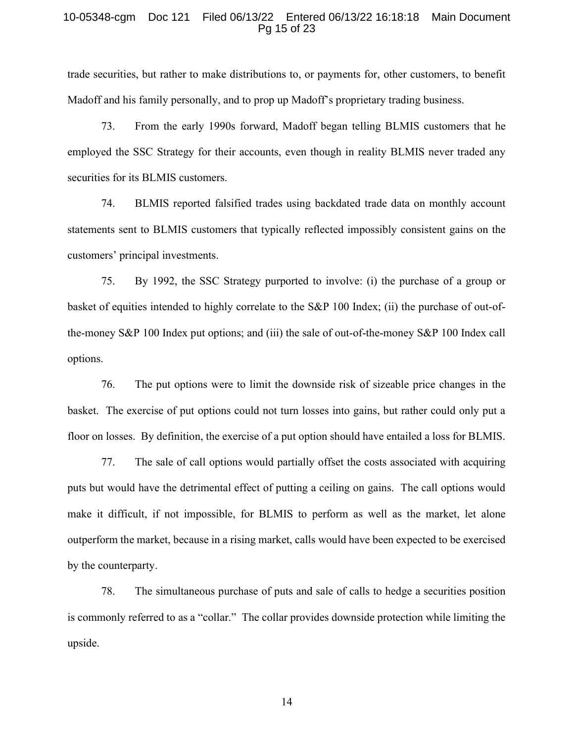#### 10-05348-cgm Doc 121 Filed 06/13/22 Entered 06/13/22 16:18:18 Main Document Pg 15 of 23

trade securities, but rather to make distributions to, or payments for, other customers, to benefit Madoff and his family personally, and to prop up Madoff's proprietary trading business.

73. From the early 1990s forward, Madoff began telling BLMIS customers that he employed the SSC Strategy for their accounts, even though in reality BLMIS never traded any securities for its BLMIS customers.

74. BLMIS reported falsified trades using backdated trade data on monthly account statements sent to BLMIS customers that typically reflected impossibly consistent gains on the customers' principal investments.

75. By 1992, the SSC Strategy purported to involve: (i) the purchase of a group or basket of equities intended to highly correlate to the S&P 100 Index; (ii) the purchase of out-ofthe-money S&P 100 Index put options; and (iii) the sale of out-of-the-money S&P 100 Index call options.

76. The put options were to limit the downside risk of sizeable price changes in the basket. The exercise of put options could not turn losses into gains, but rather could only put a floor on losses. By definition, the exercise of a put option should have entailed a loss for BLMIS.

77. The sale of call options would partially offset the costs associated with acquiring puts but would have the detrimental effect of putting a ceiling on gains. The call options would make it difficult, if not impossible, for BLMIS to perform as well as the market, let alone outperform the market, because in a rising market, calls would have been expected to be exercised by the counterparty.

78. The simultaneous purchase of puts and sale of calls to hedge a securities position is commonly referred to as a "collar." The collar provides downside protection while limiting the upside.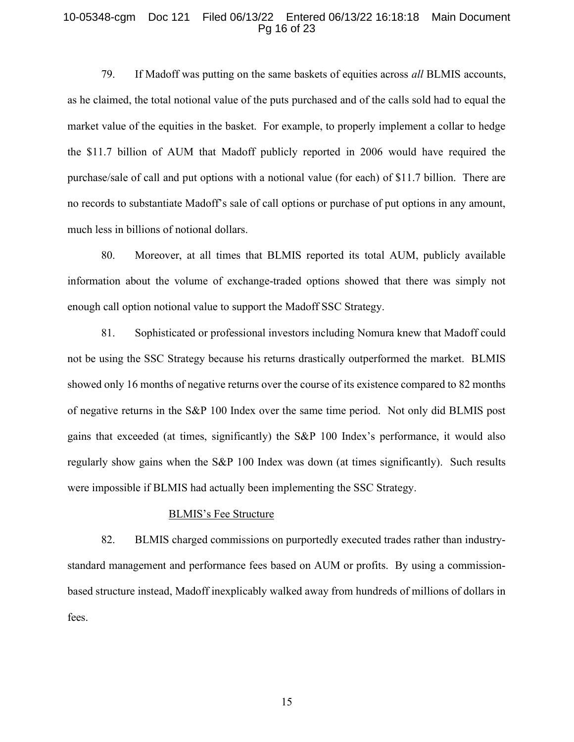#### 10-05348-cgm Doc 121 Filed 06/13/22 Entered 06/13/22 16:18:18 Main Document Pg 16 of 23

79. If Madoff was putting on the same baskets of equities across all BLMIS accounts, as he claimed, the total notional value of the puts purchased and of the calls sold had to equal the market value of the equities in the basket. For example, to properly implement a collar to hedge the \$11.7 billion of AUM that Madoff publicly reported in 2006 would have required the purchase/sale of call and put options with a notional value (for each) of \$11.7 billion. There are no records to substantiate Madoff's sale of call options or purchase of put options in any amount, much less in billions of notional dollars.

80. Moreover, at all times that BLMIS reported its total AUM, publicly available information about the volume of exchange-traded options showed that there was simply not enough call option notional value to support the Madoff SSC Strategy.

81. Sophisticated or professional investors including Nomura knew that Madoff could not be using the SSC Strategy because his returns drastically outperformed the market. BLMIS showed only 16 months of negative returns over the course of its existence compared to 82 months of negative returns in the S&P 100 Index over the same time period. Not only did BLMIS post gains that exceeded (at times, significantly) the S&P 100 Index's performance, it would also regularly show gains when the S&P 100 Index was down (at times significantly). Such results were impossible if BLMIS had actually been implementing the SSC Strategy.

#### BLMIS's Fee Structure

82. BLMIS charged commissions on purportedly executed trades rather than industrystandard management and performance fees based on AUM or profits. By using a commissionbased structure instead, Madoff inexplicably walked away from hundreds of millions of dollars in fees.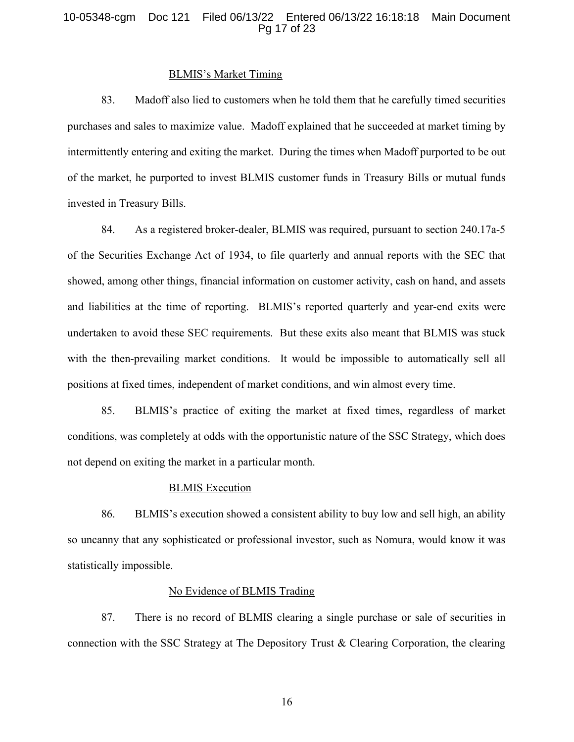#### 10-05348-cgm Doc 121 Filed 06/13/22 Entered 06/13/22 16:18:18 Main Document Pg 17 of 23

## BLMIS's Market Timing

83. Madoff also lied to customers when he told them that he carefully timed securities purchases and sales to maximize value. Madoff explained that he succeeded at market timing by intermittently entering and exiting the market. During the times when Madoff purported to be out of the market, he purported to invest BLMIS customer funds in Treasury Bills or mutual funds invested in Treasury Bills.

84. As a registered broker-dealer, BLMIS was required, pursuant to section 240.17a-5 of the Securities Exchange Act of 1934, to file quarterly and annual reports with the SEC that showed, among other things, financial information on customer activity, cash on hand, and assets and liabilities at the time of reporting. BLMIS's reported quarterly and year-end exits were undertaken to avoid these SEC requirements. But these exits also meant that BLMIS was stuck with the then-prevailing market conditions. It would be impossible to automatically sell all positions at fixed times, independent of market conditions, and win almost every time.

85. BLMIS's practice of exiting the market at fixed times, regardless of market conditions, was completely at odds with the opportunistic nature of the SSC Strategy, which does not depend on exiting the market in a particular month.

#### BLMIS Execution

86. BLMIS's execution showed a consistent ability to buy low and sell high, an ability so uncanny that any sophisticated or professional investor, such as Nomura, would know it was statistically impossible.

#### No Evidence of BLMIS Trading

87. There is no record of BLMIS clearing a single purchase or sale of securities in connection with the SSC Strategy at The Depository Trust & Clearing Corporation, the clearing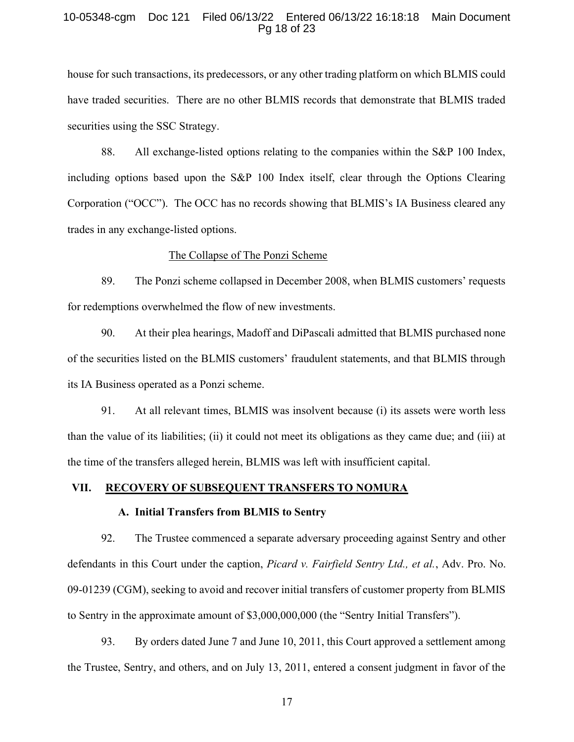#### 10-05348-cgm Doc 121 Filed 06/13/22 Entered 06/13/22 16:18:18 Main Document Pg 18 of 23

house for such transactions, its predecessors, or any other trading platform on which BLMIS could have traded securities. There are no other BLMIS records that demonstrate that BLMIS traded securities using the SSC Strategy.

88. All exchange-listed options relating to the companies within the S&P 100 Index, including options based upon the S&P 100 Index itself, clear through the Options Clearing Corporation ("OCC"). The OCC has no records showing that BLMIS's IA Business cleared any trades in any exchange-listed options.

#### The Collapse of The Ponzi Scheme

89. The Ponzi scheme collapsed in December 2008, when BLMIS customers' requests for redemptions overwhelmed the flow of new investments.

90. At their plea hearings, Madoff and DiPascali admitted that BLMIS purchased none of the securities listed on the BLMIS customers' fraudulent statements, and that BLMIS through its IA Business operated as a Ponzi scheme.

91. At all relevant times, BLMIS was insolvent because (i) its assets were worth less than the value of its liabilities; (ii) it could not meet its obligations as they came due; and (iii) at the time of the transfers alleged herein, BLMIS was left with insufficient capital.

#### VII. RECOVERY OF SUBSEQUENT TRANSFERS TO NOMURA

#### A. Initial Transfers from BLMIS to Sentry

92. The Trustee commenced a separate adversary proceeding against Sentry and other defendants in this Court under the caption, *Picard v. Fairfield Sentry Ltd., et al.*, Adv. Pro. No. 09-01239 (CGM), seeking to avoid and recover initial transfers of customer property from BLMIS to Sentry in the approximate amount of \$3,000,000,000 (the "Sentry Initial Transfers").

93. By orders dated June 7 and June 10, 2011, this Court approved a settlement among the Trustee, Sentry, and others, and on July 13, 2011, entered a consent judgment in favor of the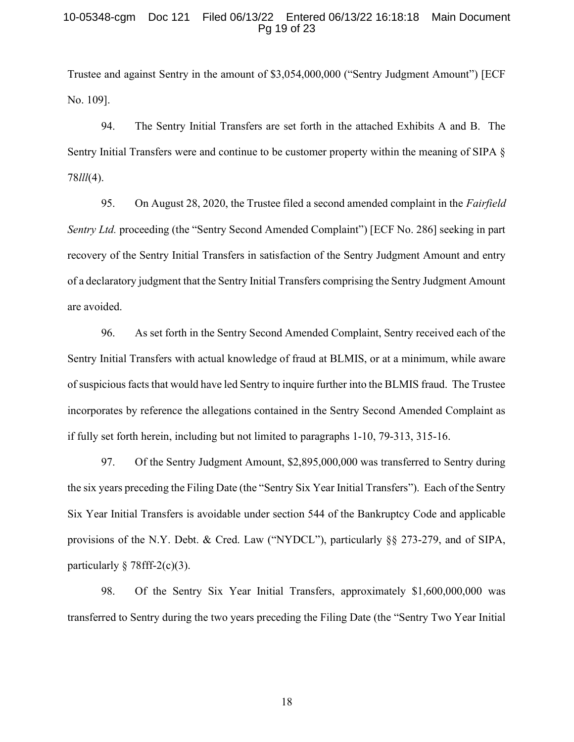#### 10-05348-cgm Doc 121 Filed 06/13/22 Entered 06/13/22 16:18:18 Main Document Pg 19 of 23

Trustee and against Sentry in the amount of \$3,054,000,000 ("Sentry Judgment Amount") [ECF No. 109].

94. The Sentry Initial Transfers are set forth in the attached Exhibits A and B. The Sentry Initial Transfers were and continue to be customer property within the meaning of SIPA § 78lll(4).

95. On August 28, 2020, the Trustee filed a second amended complaint in the Fairfield Sentry Ltd. proceeding (the "Sentry Second Amended Complaint") [ECF No. 286] seeking in part recovery of the Sentry Initial Transfers in satisfaction of the Sentry Judgment Amount and entry of a declaratory judgment that the Sentry Initial Transfers comprising the Sentry Judgment Amount are avoided.

96. As set forth in the Sentry Second Amended Complaint, Sentry received each of the Sentry Initial Transfers with actual knowledge of fraud at BLMIS, or at a minimum, while aware of suspicious facts that would have led Sentry to inquire further into the BLMIS fraud. The Trustee incorporates by reference the allegations contained in the Sentry Second Amended Complaint as if fully set forth herein, including but not limited to paragraphs 1-10, 79-313, 315-16.

97. Of the Sentry Judgment Amount, \$2,895,000,000 was transferred to Sentry during the six years preceding the Filing Date (the "Sentry Six Year Initial Transfers"). Each of the Sentry Six Year Initial Transfers is avoidable under section 544 of the Bankruptcy Code and applicable provisions of the N.Y. Debt. & Cred. Law ("NYDCL"), particularly §§ 273-279, and of SIPA, particularly  $\S 78$ fff-2(c)(3).

98. Of the Sentry Six Year Initial Transfers, approximately \$1,600,000,000 was transferred to Sentry during the two years preceding the Filing Date (the "Sentry Two Year Initial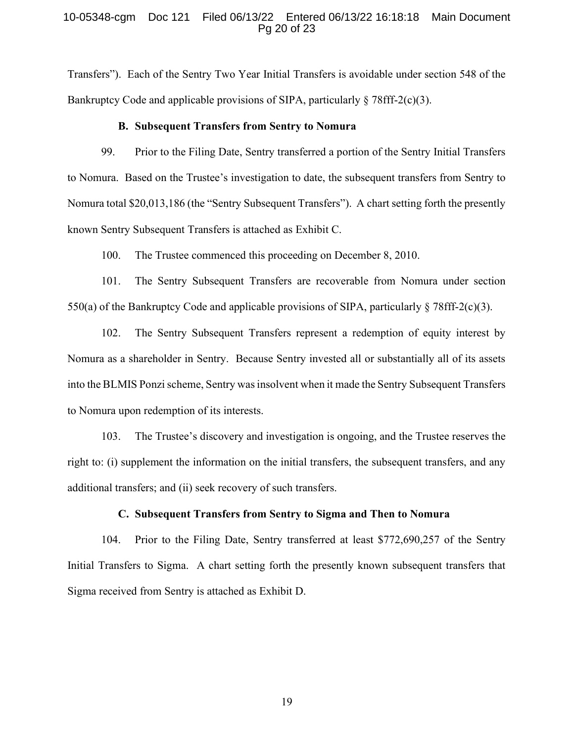#### 10-05348-cgm Doc 121 Filed 06/13/22 Entered 06/13/22 16:18:18 Main Document Pg 20 of 23

Transfers"). Each of the Sentry Two Year Initial Transfers is avoidable under section 548 of the Bankruptcy Code and applicable provisions of SIPA, particularly  $\S 78$ fff-2(c)(3).

#### B. Subsequent Transfers from Sentry to Nomura

99. Prior to the Filing Date, Sentry transferred a portion of the Sentry Initial Transfers to Nomura. Based on the Trustee's investigation to date, the subsequent transfers from Sentry to Nomura total \$20,013,186 (the "Sentry Subsequent Transfers"). A chart setting forth the presently known Sentry Subsequent Transfers is attached as Exhibit C.

100. The Trustee commenced this proceeding on December 8, 2010.

101. The Sentry Subsequent Transfers are recoverable from Nomura under section 550(a) of the Bankruptcy Code and applicable provisions of SIPA, particularly  $\S 78$ fff-2(c)(3).

102. The Sentry Subsequent Transfers represent a redemption of equity interest by Nomura as a shareholder in Sentry. Because Sentry invested all or substantially all of its assets into the BLMIS Ponzi scheme, Sentry was insolvent when it made the Sentry Subsequent Transfers to Nomura upon redemption of its interests.

103. The Trustee's discovery and investigation is ongoing, and the Trustee reserves the right to: (i) supplement the information on the initial transfers, the subsequent transfers, and any additional transfers; and (ii) seek recovery of such transfers.

#### C. Subsequent Transfers from Sentry to Sigma and Then to Nomura

104. Prior to the Filing Date, Sentry transferred at least \$772,690,257 of the Sentry Initial Transfers to Sigma. A chart setting forth the presently known subsequent transfers that Sigma received from Sentry is attached as Exhibit D.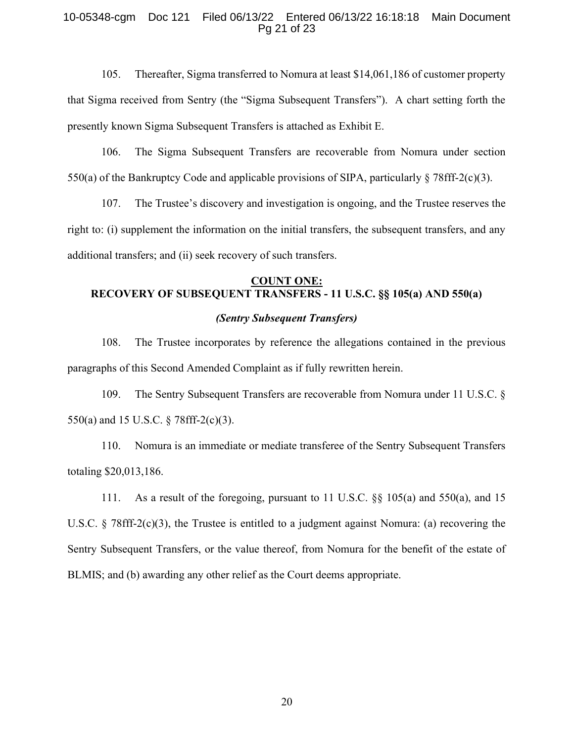#### 10-05348-cgm Doc 121 Filed 06/13/22 Entered 06/13/22 16:18:18 Main Document Pg 21 of 23

105. Thereafter, Sigma transferred to Nomura at least \$14,061,186 of customer property that Sigma received from Sentry (the "Sigma Subsequent Transfers"). A chart setting forth the presently known Sigma Subsequent Transfers is attached as Exhibit E.

106. The Sigma Subsequent Transfers are recoverable from Nomura under section 550(a) of the Bankruptcy Code and applicable provisions of SIPA, particularly  $\S 78\text{ff}^{-2}(c)(3)$ .

107. The Trustee's discovery and investigation is ongoing, and the Trustee reserves the right to: (i) supplement the information on the initial transfers, the subsequent transfers, and any additional transfers; and (ii) seek recovery of such transfers.

# COUNT ONE: RECOVERY OF SUBSEQUENT TRANSFERS - 11 U.S.C. §§ 105(a) AND 550(a)

# (Sentry Subsequent Transfers)

108. The Trustee incorporates by reference the allegations contained in the previous paragraphs of this Second Amended Complaint as if fully rewritten herein.

109. The Sentry Subsequent Transfers are recoverable from Nomura under 11 U.S.C. § 550(a) and 15 U.S.C. § 78fff-2(c)(3).

110. Nomura is an immediate or mediate transferee of the Sentry Subsequent Transfers totaling \$20,013,186.

111. As a result of the foregoing, pursuant to 11 U.S.C. §§ 105(a) and 550(a), and 15 U.S.C.  $\S$  78fff-2(c)(3), the Trustee is entitled to a judgment against Nomura: (a) recovering the Sentry Subsequent Transfers, or the value thereof, from Nomura for the benefit of the estate of BLMIS; and (b) awarding any other relief as the Court deems appropriate.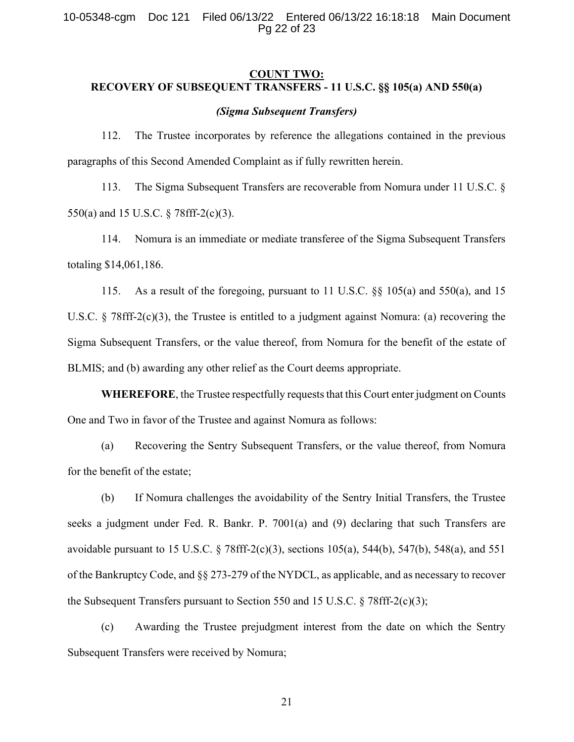# COUNT TWO: RECOVERY OF SUBSEQUENT TRANSFERS - 11 U.S.C. §§ 105(a) AND 550(a)

#### (Sigma Subsequent Transfers)

112. The Trustee incorporates by reference the allegations contained in the previous paragraphs of this Second Amended Complaint as if fully rewritten herein.

113. The Sigma Subsequent Transfers are recoverable from Nomura under 11 U.S.C. § 550(a) and 15 U.S.C. § 78fff-2(c)(3).

114. Nomura is an immediate or mediate transferee of the Sigma Subsequent Transfers totaling \$14,061,186.

115. As a result of the foregoing, pursuant to 11 U.S.C. §§ 105(a) and 550(a), and 15 U.S.C. § 78fff-2(c)(3), the Trustee is entitled to a judgment against Nomura: (a) recovering the Sigma Subsequent Transfers, or the value thereof, from Nomura for the benefit of the estate of BLMIS; and (b) awarding any other relief as the Court deems appropriate.

WHEREFORE, the Trustee respectfully requests that this Court enter judgment on Counts One and Two in favor of the Trustee and against Nomura as follows:

(a) Recovering the Sentry Subsequent Transfers, or the value thereof, from Nomura for the benefit of the estate;

(b) If Nomura challenges the avoidability of the Sentry Initial Transfers, the Trustee seeks a judgment under Fed. R. Bankr. P. 7001(a) and (9) declaring that such Transfers are avoidable pursuant to 15 U.S.C. § 78fff-2(c)(3), sections 105(a), 544(b), 547(b), 548(a), and 551 of the Bankruptcy Code, and §§ 273-279 of the NYDCL, as applicable, and as necessary to recover the Subsequent Transfers pursuant to Section 550 and 15 U.S.C. § 78fff-2(c)(3);

(c) Awarding the Trustee prejudgment interest from the date on which the Sentry Subsequent Transfers were received by Nomura;